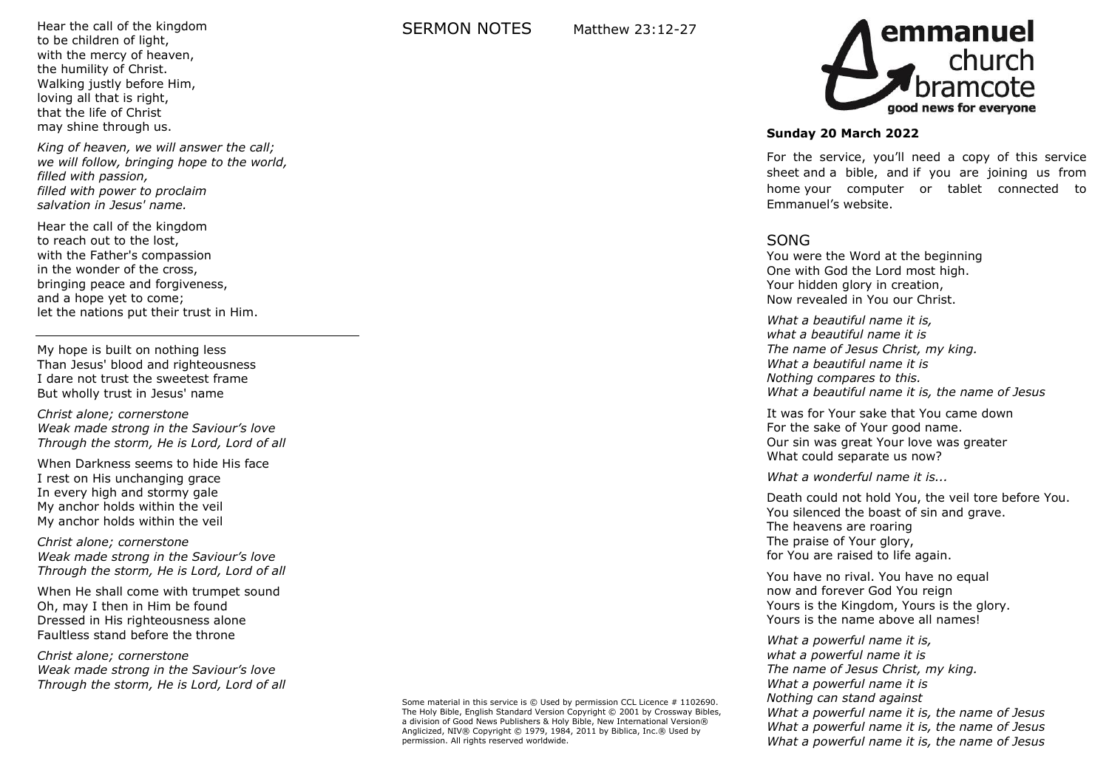### SERMON NOTES Matthew 23:12-27



*King of heaven, we will answer the call; we will follow, bringing hope to the world, filled with passion, filled with power to proclaim salvation in Jesus' name.*

Hear the call of the kingdom to reach out to the lost, with the Father's compassion in the wonder of the cross, bringing peace and forgiveness, and a hope yet to come; let the nations put their trust in Him.

My hope is built on nothing less Than Jesus' blood and righteousness I dare not trust the sweetest frame But wholly trust in Jesus' name

*Christ alone; cornerstone Weak made strong in the Saviour's love Through the storm, He is Lord, Lord of all*

When Darkness seems to hide His face I rest on His unchanging grace In every high and stormy gale My anchor holds within the veil My anchor holds within the veil

*Christ alone; cornerstone Weak made strong in the Saviour's love Through the storm, He is Lord, Lord of all*

When He shall come with trumpet sound Oh, may I then in Him be found Dressed in His righteousness alone Faultless stand before the throne

*Christ alone; cornerstone Weak made strong in the Saviour's love Through the storm, He is Lord, Lord of all*

> Some material in this service is © Used by permission CCL Licence # 1102690. The Holy Bible, English Standard Version Copyright © 2001 by Crossway Bibles, a division of Good News Publishers & Holy Bible, New International Version® Anglicized, NIV® Copyright © 1979, 1984, 2011 by Biblica, Inc.® Used by permission. All rights reserved worldwide.



### **Sunday 20 March 2022**

For the service, you'll need a copy of this service sheet and a bible, and if you are joining us from home your computer or tablet connected to Emmanuel's website.

## SONG

You were the Word at the beginning One with God the Lord most high. Your hidden glory in creation, Now revealed in You our Christ.

*What a beautiful name it is, what a beautiful name it is The name of Jesus Christ, my king. What a beautiful name it is Nothing compares to this. What a beautiful name it is, the name of Jesus*

It was for Your sake that You came down For the sake of Your good name. Our sin was great Your love was greater What could separate us now?

*What a wonderful name it is...*

Death could not hold You, the veil tore before You. You silenced the boast of sin and grave. The heavens are roaring The praise of Your glory, for You are raised to life again.

You have no rival. You have no equal now and forever God You reign Yours is the Kingdom, Yours is the glory. Yours is the name above all names!

*What a powerful name it is, what a powerful name it is The name of Jesus Christ, my king. What a powerful name it is Nothing can stand against What a powerful name it is, the name of Jesus What a powerful name it is, the name of Jesus What a powerful name it is, the name of Jesus*